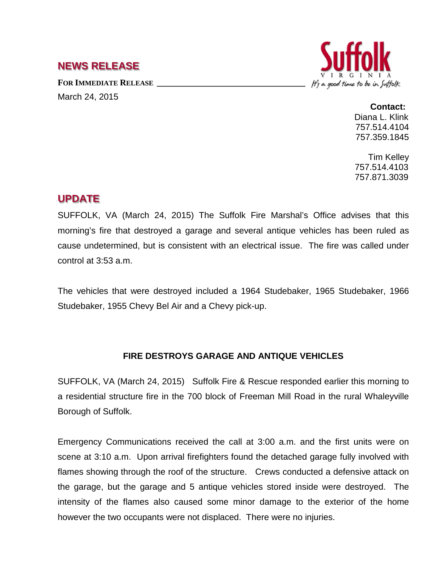## **NEWS RELEASE**

FOR **IMMEDIATE RELEASE** March 24, 2015



## **Contact:**

Diana L. Klink 757.514.4104 757.359.1845

Tim Kelley 757.514.4103 757.871.3039

## **UPDATE**

SUFFOLK, VA (March 24, 2015) The Suffolk Fire Marshal's Office advises that this morning's fire that destroyed a garage and several antique vehicles has been ruled as cause undetermined, but is consistent with an electrical issue. The fire was called under control at 3:53 a.m.

The vehicles that were destroyed included a 1964 Studebaker, 1965 Studebaker, 1966 Studebaker, 1955 Chevy Bel Air and a Chevy pick-up.

## **FIRE DESTROYS GARAGE AND ANTIQUE VEHICLES**

SUFFOLK, VA (March 24, 2015) Suffolk Fire & Rescue responded earlier this morning to a residential structure fire in the 700 block of Freeman Mill Road in the rural Whaleyville Borough of Suffolk.

Emergency Communications received the call at 3:00 a.m. and the first units were on scene at 3:10 a.m. Upon arrival firefighters found the detached garage fully involved with flames showing through the roof of the structure. Crews conducted a defensive attack on the garage, but the garage and 5 antique vehicles stored inside were destroyed. The intensity of the flames also caused some minor damage to the exterior of the home however the two occupants were not displaced. There were no injuries.